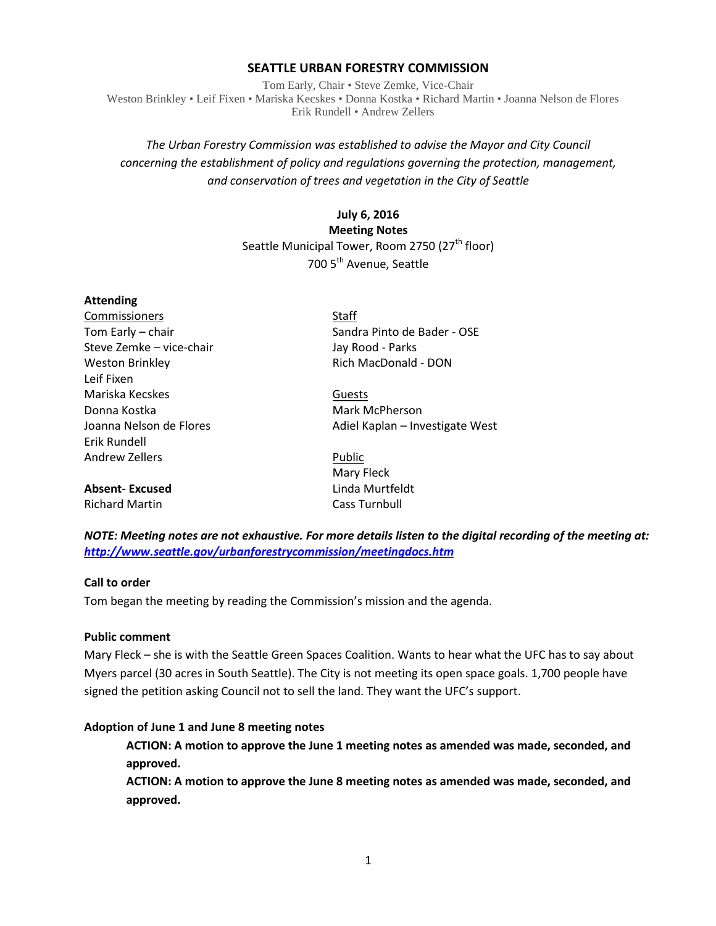#### **SEATTLE URBAN FORESTRY COMMISSION**

Tom Early, Chair • Steve Zemke, Vice-Chair Weston Brinkley • Leif Fixen • Mariska Kecskes • Donna Kostka • Richard Martin • Joanna Nelson de Flores Erik Rundell • Andrew Zellers

# *The Urban Forestry Commission was established to advise the Mayor and City Council concerning the establishment of policy and regulations governing the protection, management, and conservation of trees and vegetation in the City of Seattle*

# **July 6, 2016 Meeting Notes** Seattle Municipal Tower, Room 2750 (27<sup>th</sup> floor) 700 5<sup>th</sup> Avenue, Seattle

# **Attending** Commissioners Staff

Steve Zemke – vice-chair and Jay Rood - Parks Weston Brinkley **Rich MacDonald - DON** Leif Fixen Mariska Kecskes Guests Donna Kostka Mark McPherson Erik Rundell Andrew Zellers **Public** 

**Absent- Excused** Linda Murtfeldt Richard Martin Cass Turnbull

Tom Early – chair Sandra Pinto de Bader - OSE

Joanna Nelson de Flores **Adiel Kaplan – Investigate West** 

Mary Fleck

*NOTE: Meeting notes are not exhaustive. For more details listen to the digital recording of the meeting at: <http://www.seattle.gov/urbanforestrycommission/meetingdocs.htm>*

# **Call to order**

Tom began the meeting by reading the Commission's mission and the agenda.

#### **Public comment**

Mary Fleck – she is with the Seattle Green Spaces Coalition. Wants to hear what the UFC has to say about Myers parcel (30 acres in South Seattle). The City is not meeting its open space goals. 1,700 people have signed the petition asking Council not to sell the land. They want the UFC's support.

#### **Adoption of June 1 and June 8 meeting notes**

**ACTION: A motion to approve the June 1 meeting notes as amended was made, seconded, and approved.**

**ACTION: A motion to approve the June 8 meeting notes as amended was made, seconded, and approved.**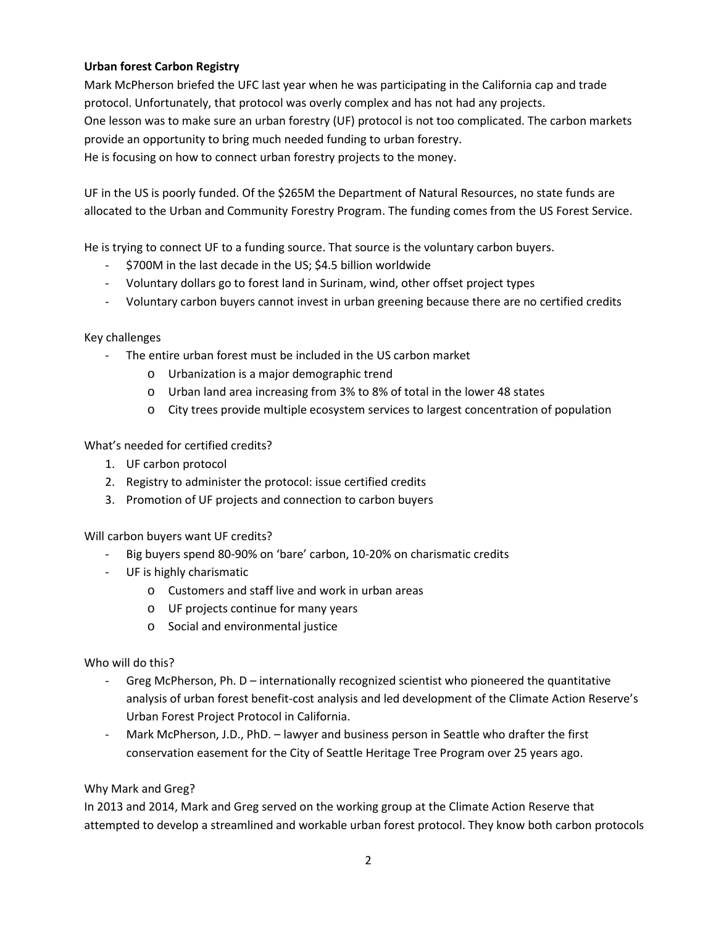# **Urban forest Carbon Registry**

Mark McPherson briefed the UFC last year when he was participating in the California cap and trade protocol. Unfortunately, that protocol was overly complex and has not had any projects. One lesson was to make sure an urban forestry (UF) protocol is not too complicated. The carbon markets provide an opportunity to bring much needed funding to urban forestry. He is focusing on how to connect urban forestry projects to the money.

UF in the US is poorly funded. Of the \$265M the Department of Natural Resources, no state funds are allocated to the Urban and Community Forestry Program. The funding comes from the US Forest Service.

He is trying to connect UF to a funding source. That source is the voluntary carbon buyers.

- \$700M in the last decade in the US; \$4.5 billion worldwide
- Voluntary dollars go to forest land in Surinam, wind, other offset project types
- Voluntary carbon buyers cannot invest in urban greening because there are no certified credits

### Key challenges

- The entire urban forest must be included in the US carbon market
	- o Urbanization is a major demographic trend
	- o Urban land area increasing from 3% to 8% of total in the lower 48 states
	- o City trees provide multiple ecosystem services to largest concentration of population

What's needed for certified credits?

- 1. UF carbon protocol
- 2. Registry to administer the protocol: issue certified credits
- 3. Promotion of UF projects and connection to carbon buyers

Will carbon buyers want UF credits?

- Big buyers spend 80-90% on 'bare' carbon, 10-20% on charismatic credits
- UF is highly charismatic
	- o Customers and staff live and work in urban areas
	- o UF projects continue for many years
	- o Social and environmental justice

Who will do this?

- Greg McPherson, Ph. D internationally recognized scientist who pioneered the quantitative analysis of urban forest benefit-cost analysis and led development of the Climate Action Reserve's Urban Forest Project Protocol in California.
- Mark McPherson, J.D., PhD. lawyer and business person in Seattle who drafter the first conservation easement for the City of Seattle Heritage Tree Program over 25 years ago.

# Why Mark and Greg?

In 2013 and 2014, Mark and Greg served on the working group at the Climate Action Reserve that attempted to develop a streamlined and workable urban forest protocol. They know both carbon protocols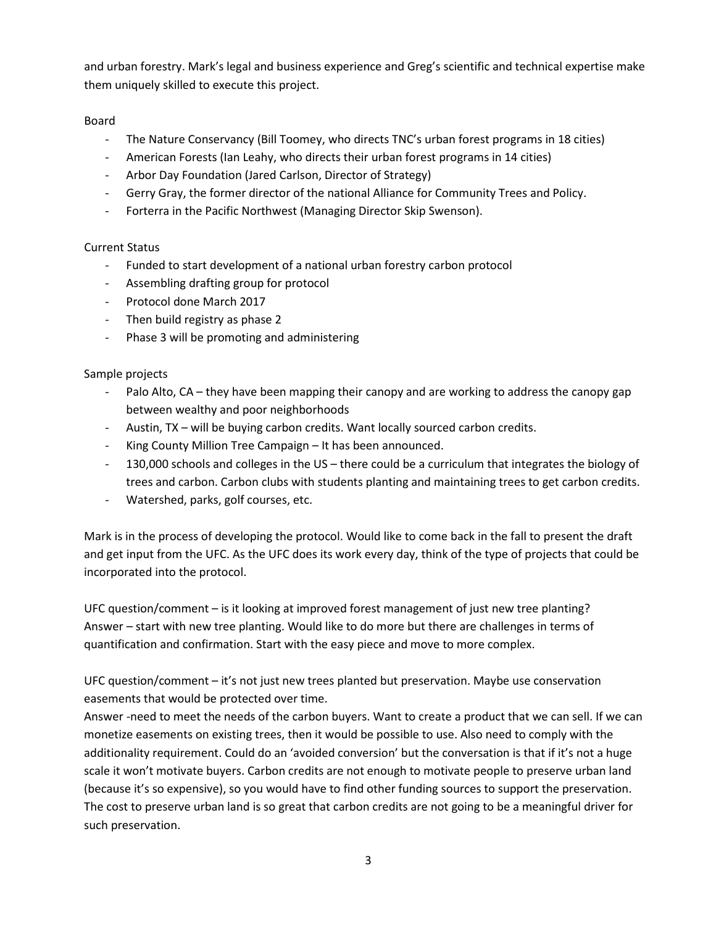and urban forestry. Mark's legal and business experience and Greg's scientific and technical expertise make them uniquely skilled to execute this project.

# Board

- The Nature Conservancy (Bill Toomey, who directs TNC's urban forest programs in 18 cities)
- American Forests (Ian Leahy, who directs their urban forest programs in 14 cities)
- Arbor Day Foundation (Jared Carlson, Director of Strategy)
- Gerry Gray, the former director of the national Alliance for Community Trees and Policy.
- Forterra in the Pacific Northwest (Managing Director Skip Swenson).

# Current Status

- Funded to start development of a national urban forestry carbon protocol
- Assembling drafting group for protocol
- Protocol done March 2017
- Then build registry as phase 2
- Phase 3 will be promoting and administering

# Sample projects

- Palo Alto, CA they have been mapping their canopy and are working to address the canopy gap between wealthy and poor neighborhoods
- Austin, TX will be buying carbon credits. Want locally sourced carbon credits.
- King County Million Tree Campaign It has been announced.
- 130,000 schools and colleges in the US there could be a curriculum that integrates the biology of trees and carbon. Carbon clubs with students planting and maintaining trees to get carbon credits.
- Watershed, parks, golf courses, etc.

Mark is in the process of developing the protocol. Would like to come back in the fall to present the draft and get input from the UFC. As the UFC does its work every day, think of the type of projects that could be incorporated into the protocol.

UFC question/comment – is it looking at improved forest management of just new tree planting? Answer – start with new tree planting. Would like to do more but there are challenges in terms of quantification and confirmation. Start with the easy piece and move to more complex.

UFC question/comment – it's not just new trees planted but preservation. Maybe use conservation easements that would be protected over time.

Answer -need to meet the needs of the carbon buyers. Want to create a product that we can sell. If we can monetize easements on existing trees, then it would be possible to use. Also need to comply with the additionality requirement. Could do an 'avoided conversion' but the conversation is that if it's not a huge scale it won't motivate buyers. Carbon credits are not enough to motivate people to preserve urban land (because it's so expensive), so you would have to find other funding sources to support the preservation. The cost to preserve urban land is so great that carbon credits are not going to be a meaningful driver for such preservation.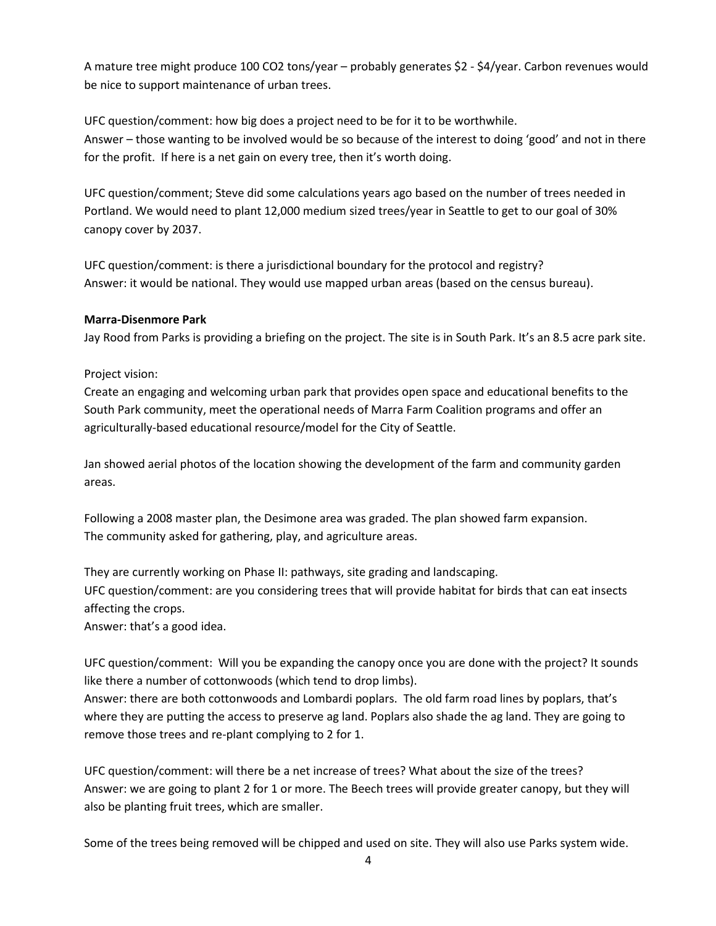A mature tree might produce 100 CO2 tons/year – probably generates \$2 - \$4/year. Carbon revenues would be nice to support maintenance of urban trees.

UFC question/comment: how big does a project need to be for it to be worthwhile. Answer – those wanting to be involved would be so because of the interest to doing 'good' and not in there for the profit. If here is a net gain on every tree, then it's worth doing.

UFC question/comment; Steve did some calculations years ago based on the number of trees needed in Portland. We would need to plant 12,000 medium sized trees/year in Seattle to get to our goal of 30% canopy cover by 2037.

UFC question/comment: is there a jurisdictional boundary for the protocol and registry? Answer: it would be national. They would use mapped urban areas (based on the census bureau).

### **Marra-Disenmore Park**

Jay Rood from Parks is providing a briefing on the project. The site is in South Park. It's an 8.5 acre park site.

Project vision:

Create an engaging and welcoming urban park that provides open space and educational benefits to the South Park community, meet the operational needs of Marra Farm Coalition programs and offer an agriculturally-based educational resource/model for the City of Seattle.

Jan showed aerial photos of the location showing the development of the farm and community garden areas.

Following a 2008 master plan, the Desimone area was graded. The plan showed farm expansion. The community asked for gathering, play, and agriculture areas.

They are currently working on Phase II: pathways, site grading and landscaping. UFC question/comment: are you considering trees that will provide habitat for birds that can eat insects affecting the crops.

Answer: that's a good idea.

UFC question/comment: Will you be expanding the canopy once you are done with the project? It sounds like there a number of cottonwoods (which tend to drop limbs).

Answer: there are both cottonwoods and Lombardi poplars. The old farm road lines by poplars, that's where they are putting the access to preserve ag land. Poplars also shade the ag land. They are going to remove those trees and re-plant complying to 2 for 1.

UFC question/comment: will there be a net increase of trees? What about the size of the trees? Answer: we are going to plant 2 for 1 or more. The Beech trees will provide greater canopy, but they will also be planting fruit trees, which are smaller.

Some of the trees being removed will be chipped and used on site. They will also use Parks system wide.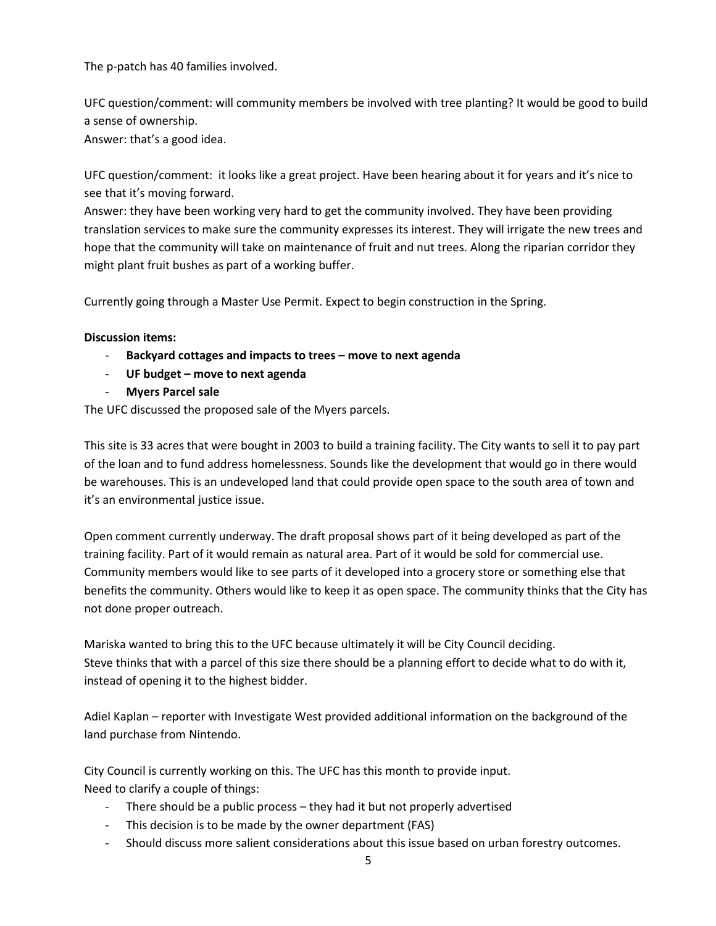The p-patch has 40 families involved.

UFC question/comment: will community members be involved with tree planting? It would be good to build a sense of ownership.

Answer: that's a good idea.

UFC question/comment: it looks like a great project. Have been hearing about it for years and it's nice to see that it's moving forward.

Answer: they have been working very hard to get the community involved. They have been providing translation services to make sure the community expresses its interest. They will irrigate the new trees and hope that the community will take on maintenance of fruit and nut trees. Along the riparian corridor they might plant fruit bushes as part of a working buffer.

Currently going through a Master Use Permit. Expect to begin construction in the Spring.

### **Discussion items:**

- **Backyard cottages and impacts to trees – move to next agenda**
- **UF budget – move to next agenda**
- **Myers Parcel sale**

The UFC discussed the proposed sale of the Myers parcels.

This site is 33 acres that were bought in 2003 to build a training facility. The City wants to sell it to pay part of the loan and to fund address homelessness. Sounds like the development that would go in there would be warehouses. This is an undeveloped land that could provide open space to the south area of town and it's an environmental justice issue.

Open comment currently underway. The draft proposal shows part of it being developed as part of the training facility. Part of it would remain as natural area. Part of it would be sold for commercial use. Community members would like to see parts of it developed into a grocery store or something else that benefits the community. Others would like to keep it as open space. The community thinks that the City has not done proper outreach.

Mariska wanted to bring this to the UFC because ultimately it will be City Council deciding. Steve thinks that with a parcel of this size there should be a planning effort to decide what to do with it, instead of opening it to the highest bidder.

Adiel Kaplan – reporter with Investigate West provided additional information on the background of the land purchase from Nintendo.

City Council is currently working on this. The UFC has this month to provide input. Need to clarify a couple of things:

- There should be a public process they had it but not properly advertised
- This decision is to be made by the owner department (FAS)
- Should discuss more salient considerations about this issue based on urban forestry outcomes.